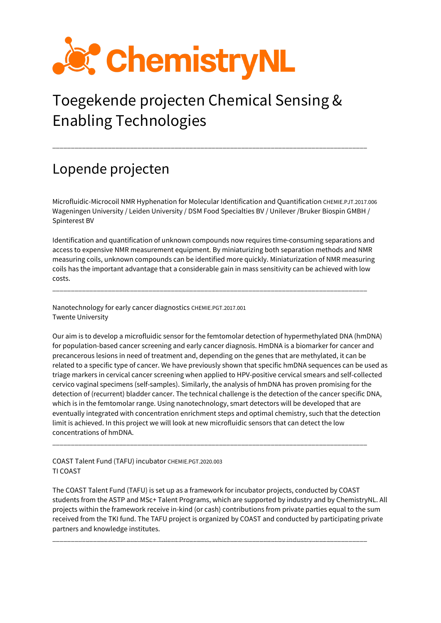

## Toegekende projecten Chemical Sensing & Enabling Technologies

\_\_\_\_\_\_\_\_\_\_\_\_\_\_\_\_\_\_\_\_\_\_\_\_\_\_\_\_\_\_\_\_\_\_\_\_\_\_\_\_\_\_\_\_\_\_\_\_\_\_\_\_\_\_\_\_\_\_\_\_\_\_\_\_\_\_\_\_\_\_\_\_\_\_\_\_\_\_\_\_\_\_\_\_\_

## Lopende projecten

Microfluidic-Microcoil NMR Hyphenation for Molecular Identification and Quantification CHEMIE.PJT.2017.006 Wageningen University / Leiden University / DSM Food Specialties BV / Unilever /Bruker Biospin GMBH / Spinterest BV

Identification and quantification of unknown compounds now requires time-consuming separations and access to expensive NMR measurement equipment. By miniaturizing both separation methods and NMR measuring coils, unknown compounds can be identified more quickly. Miniaturization of NMR measuring coils has the important advantage that a considerable gain in mass sensitivity can be achieved with low costs.

\_\_\_\_\_\_\_\_\_\_\_\_\_\_\_\_\_\_\_\_\_\_\_\_\_\_\_\_\_\_\_\_\_\_\_\_\_\_\_\_\_\_\_\_\_\_\_\_\_\_\_\_\_\_\_\_\_\_\_\_\_\_\_\_\_\_\_\_\_\_\_\_\_\_\_\_\_\_\_\_\_\_\_\_\_

Nanotechnology for early cancer diagnostics CHEMIE.PGT.2017.001 Twente University

Our aim is to develop a microfluidic sensor for the femtomolar detection of hypermethylated DNA (hmDNA) for population-based cancer screening and early cancer diagnosis. HmDNA is a biomarker for cancer and precancerous lesions in need of treatment and, depending on the genes that are methylated, it can be related to a specific type of cancer. We have previously shown that specific hmDNA sequences can be used as triage markers in cervical cancer screening when applied to HPV-positive cervical smears and self-collected cervico vaginal specimens (self-samples). Similarly, the analysis of hmDNA has proven promising for the detection of (recurrent) bladder cancer. The technical challenge is the detection of the cancer specific DNA, which is in the femtomolar range. Using nanotechnology, smart detectors will be developed that are eventually integrated with concentration enrichment steps and optimal chemistry, such that the detection limit is achieved. In this project we will look at new microfluidic sensors that can detect the low concentrations of hmDNA.

\_\_\_\_\_\_\_\_\_\_\_\_\_\_\_\_\_\_\_\_\_\_\_\_\_\_\_\_\_\_\_\_\_\_\_\_\_\_\_\_\_\_\_\_\_\_\_\_\_\_\_\_\_\_\_\_\_\_\_\_\_\_\_\_\_\_\_\_\_\_\_\_\_\_\_\_\_\_\_\_\_\_\_\_\_

COAST Talent Fund (TAFU) incubator CHEMIE.PGT.2020.003 TI COAST

The COAST Talent Fund (TAFU) is set up as a framework for incubator projects, conducted by COAST students from the ASTP and MSc+ Talent Programs, which are supported by industry and by ChemistryNL. All projects within the framework receive in-kind (or cash) contributions from private parties equal to the sum received from the TKI fund. The TAFU project is organized by COAST and conducted by participating private partners and knowledge institutes.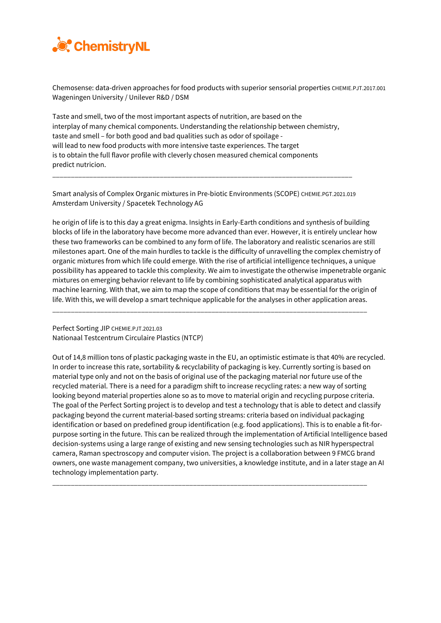

Chemosense: data-driven approaches for food products with superior sensorial properties CHEMIE.PJT.2017.001 Wageningen University / Unilever R&D / DSM

Taste and smell, two of the most important aspects of nutrition, are based on the interplay of many chemical components. Understanding the relationship between chemistry, taste and smell – for both good and bad qualities such as odor of spoilage will lead to new food products with more intensive taste experiences. The target is to obtain the full flavor profile with cleverly chosen measured chemical components predict nutricion.

Smart analysis of Complex Organic mixtures in Pre-biotic Environments (SCOPE) CHEMIE.PGT.2021.019 Amsterdam University / Spacetek Technology AG

\_\_\_\_\_\_\_\_\_\_\_\_\_\_\_\_\_\_\_\_\_\_\_\_\_\_\_\_\_\_\_\_\_\_\_\_\_\_\_\_\_\_\_\_\_\_\_\_\_\_\_\_\_\_\_\_\_\_\_\_\_\_\_\_\_\_\_\_\_\_\_\_\_\_\_\_\_\_\_\_\_

he origin of life is to this day a great enigma. Insights in Early-Earth conditions and synthesis of building blocks of life in the laboratory have become more advanced than ever. However, it is entirely unclear how these two frameworks can be combined to any form of life. The laboratory and realistic scenarios are still milestones apart. One of the main hurdles to tackle is the difficulty of unravelling the complex chemistry of organic mixtures from which life could emerge. With the rise of artificial intelligence techniques, a unique possibility has appeared to tackle this complexity. We aim to investigate the otherwise impenetrable organic mixtures on emerging behavior relevant to life by combining sophisticated analytical apparatus with machine learning. With that, we aim to map the scope of conditions that may be essential for the origin of life. With this, we will develop a smart technique applicable for the analyses in other application areas.

\_\_\_\_\_\_\_\_\_\_\_\_\_\_\_\_\_\_\_\_\_\_\_\_\_\_\_\_\_\_\_\_\_\_\_\_\_\_\_\_\_\_\_\_\_\_\_\_\_\_\_\_\_\_\_\_\_\_\_\_\_\_\_\_\_\_\_\_\_\_\_\_\_\_\_\_\_\_\_\_\_\_\_\_\_

Perfect Sorting JIP CHEMIE.PJT.2021.03 Nationaal Testcentrum Circulaire Plastics (NTCP)

Out of 14,8 million tons of plastic packaging waste in the EU, an optimistic estimate is that 40% are recycled. In order to increase this rate, sortability & recyclability of packaging is key. Currently sorting is based on material type only and not on the basis of original use of the packaging material nor future use of the recycled material. There is a need for a paradigm shift to increase recycling rates: a new way of sorting looking beyond material properties alone so as to move to material origin and recycling purpose criteria. The goal of the Perfect Sorting project is to develop and test a technology that is able to detect and classify packaging beyond the current material-based sorting streams: criteria based on individual packaging identification or based on predefined group identification (e.g. food applications). This is to enable a fit-forpurpose sorting in the future. This can be realized through the implementation of Artificial Intelligence based decision-systems using a large range of existing and new sensing technologies such as NIR hyperspectral camera, Raman spectroscopy and computer vision. The project is a collaboration between 9 FMCG brand owners, one waste management company, two universities, a knowledge institute, and in a later stage an AI technology implementation party.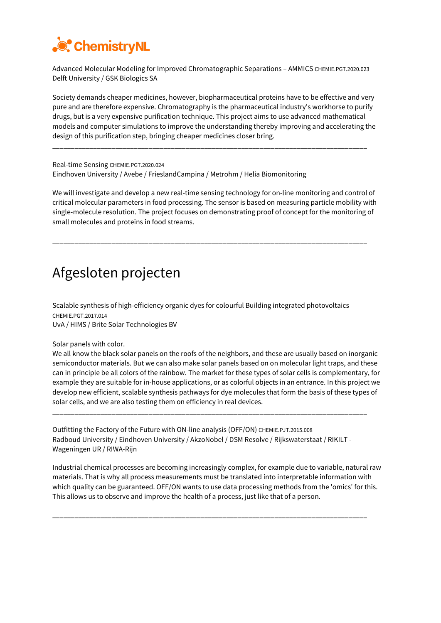

Advanced Molecular Modeling for Improved Chromatographic Separations - AMMICS CHEMIE.PGT.2020.023 Delft University / GSK Biologics SA

Society demands cheaper medicines, however, biopharmaceutical proteins have to be effective and very pure and are therefore expensive. Chromatography is the pharmaceutical industry's workhorse to purify drugs, but is a very expensive purification technique. This project aims to use advanced mathematical models and computer simulations to improve the understanding thereby improving and accelerating the design of this purification step, bringing cheaper medicines closer bring.

\_\_\_\_\_\_\_\_\_\_\_\_\_\_\_\_\_\_\_\_\_\_\_\_\_\_\_\_\_\_\_\_\_\_\_\_\_\_\_\_\_\_\_\_\_\_\_\_\_\_\_\_\_\_\_\_\_\_\_\_\_\_\_\_\_\_\_\_\_\_\_\_\_\_\_\_\_\_\_\_\_\_\_\_\_

Real-time Sensing CHEMIE.PGT.2020.024 Eindhoven University / Avebe / FrieslandCampina / Metrohm / Helia Biomonitoring

We will investigate and develop a new real-time sensing technology for on-line monitoring and control of critical molecular parameters in food processing. The sensor is based on measuring particle mobility with single-molecule resolution. The project focuses on demonstrating proof of concept for the monitoring of small molecules and proteins in food streams.

\_\_\_\_\_\_\_\_\_\_\_\_\_\_\_\_\_\_\_\_\_\_\_\_\_\_\_\_\_\_\_\_\_\_\_\_\_\_\_\_\_\_\_\_\_\_\_\_\_\_\_\_\_\_\_\_\_\_\_\_\_\_\_\_\_\_\_\_\_\_\_\_\_\_\_\_\_\_\_\_\_\_\_\_\_

## Afgesloten projecten

Scalable synthesis of high-efficiency organic dyes for colourful Building integrated photovoltaics CHEMIE.PGT.2017.014 UvA / HIMS / Brite Solar Technologies BV

Solar panels with color.

We all know the black solar panels on the roofs of the neighbors, and these are usually based on inorganic semiconductor materials. But we can also make solar panels based on on molecular light traps, and these can in principle be all colors of the rainbow. The market for these types of solar cells is complementary, for example they are suitable for in-house applications, or as colorful objects in an entrance. In this project we develop new efficient, scalable synthesis pathways for dye molecules that form the basis of these types of solar cells, and we are also testing them on efficiency in real devices.

Outfitting the Factory of the Future with ON-line analysis (OFF/ON) CHEMIE.PJT.2015.008 Radboud University / Eindhoven University / AkzoNobel / DSM Resolve / Rijkswaterstaat / RIKILT - Wageningen UR / RIWA-Rijn

\_\_\_\_\_\_\_\_\_\_\_\_\_\_\_\_\_\_\_\_\_\_\_\_\_\_\_\_\_\_\_\_\_\_\_\_\_\_\_\_\_\_\_\_\_\_\_\_\_\_\_\_\_\_\_\_\_\_\_\_\_\_\_\_\_\_\_\_\_\_\_\_\_\_\_\_\_\_\_\_\_\_\_\_\_

Industrial chemical processes are becoming increasingly complex, for example due to variable, natural raw materials. That is why all process measurements must be translated into interpretable information with which quality can be guaranteed. OFF/ON wants to use data processing methods from the 'omics' for this. This allows us to observe and improve the health of a process, just like that of a person.